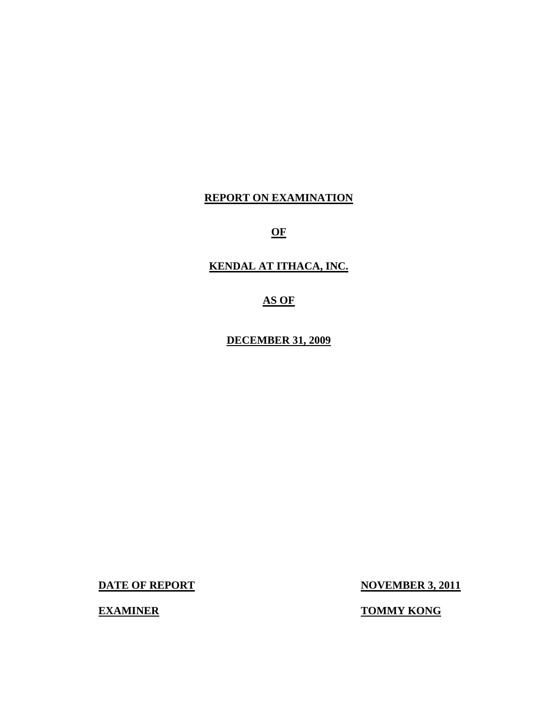### **REPORT ON EXAMINATION**

**OF** 

### **KENDAL AT ITHACA, INC.**

**AS OF** 

**DECEMBER 31, 2009** 

**DATE OF REPORT NOVEMBER 3, 2011** 

**EXAMINER TOMMY KONG**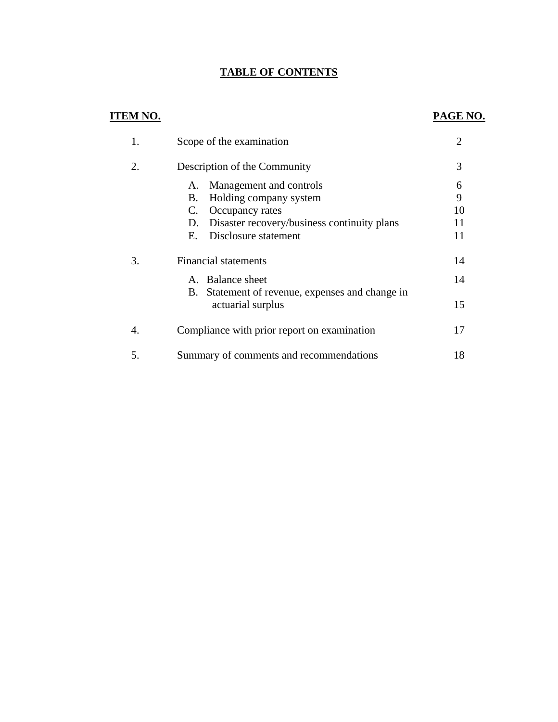## **TABLE OF CONTENTS**

## **ITEM NO. PAGE NO.**

|    | Scope of the examination                                                                                                                                                  | $\overline{2}$           |
|----|---------------------------------------------------------------------------------------------------------------------------------------------------------------------------|--------------------------|
| 2. | Description of the Community                                                                                                                                              | 3                        |
|    | Management and controls<br>А.<br>Holding company system<br>В.<br>Occupancy rates<br>C.<br>Disaster recovery/business continuity plans<br>D.<br>Disclosure statement<br>Е. | 6<br>9<br>10<br>11<br>11 |
| 3. | <b>Financial statements</b>                                                                                                                                               | 14                       |
|    | A. Balance sheet                                                                                                                                                          | 14                       |
|    | B. Statement of revenue, expenses and change in<br>actuarial surplus                                                                                                      | 15                       |
| 4. | Compliance with prior report on examination                                                                                                                               | 17                       |
| 5. | Summary of comments and recommendations                                                                                                                                   | 18                       |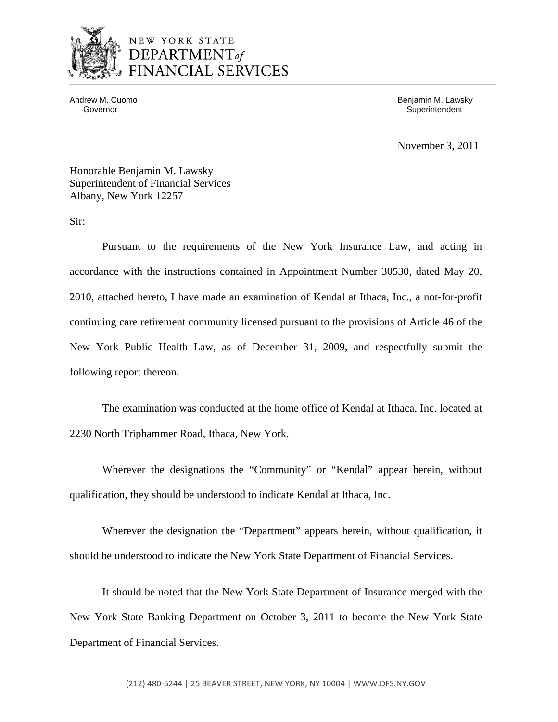

## NEW YORK STATE DEPARTMENT<sub>of</sub> FINANCIAL SERVICES

Andrew M. Cuomo **Benjamin M. Lawsky** Governor **Superintendent** Superintendent Superintendent Superintendent Superintendent Superintendent Superintendent

November 3, 2011

Honorable Benjamin M. Lawsky Superintendent of Financial Services Albany, New York 12257

Sir:

Pursuant to the requirements of the New York Insurance Law, and acting in accordance with the instructions contained in Appointment Number 30530, dated May 20, 2010, attached hereto, I have made an examination of Kendal at Ithaca, Inc., a not-for-profit continuing care retirement community licensed pursuant to the provisions of Article 46 of the New York Public Health Law, as of December 31, 2009, and respectfully submit the following report thereon.

The examination was conducted at the home office of Kendal at Ithaca, Inc. located at 2230 North Triphammer Road, Ithaca, New York.

Wherever the designations the "Community" or "Kendal" appear herein, without qualification, they should be understood to indicate Kendal at Ithaca, Inc.

Wherever the designation the "Department" appears herein, without qualification, it should be understood to indicate the New York State Department of Financial Services.

It should be noted that the New York State Department of Insurance merged with the New York State Banking Department on October 3, 2011 to become the New York State Department of Financial Services.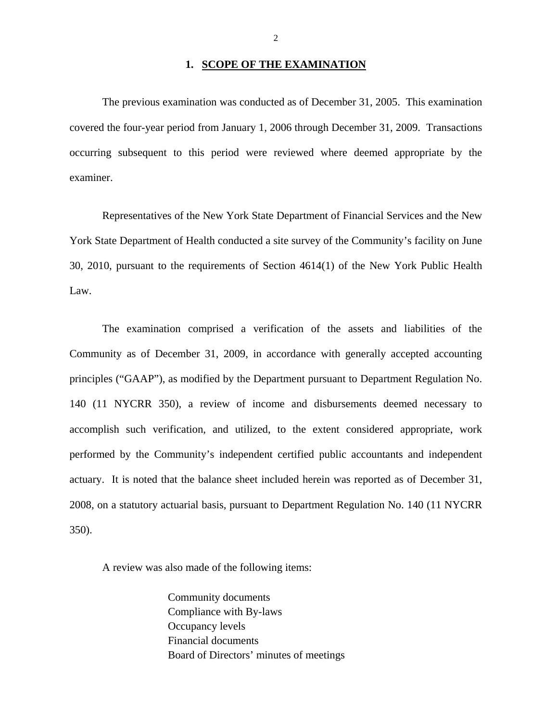#### 1. **SCOPE OF THE EXAMINATION**

The previous examination was conducted as of December 31, 2005. This examination covered the four-year period from January 1, 2006 through December 31, 2009. Transactions occurring subsequent to this period were reviewed where deemed appropriate by the examiner.

Representatives of the New York State Department of Financial Services and the New York State Department of Health conducted a site survey of the Community's facility on June 30, 2010, pursuant to the requirements of Section 4614(1) of the New York Public Health Law.

The examination comprised a verification of the assets and liabilities of the Community as of December 31, 2009, in accordance with generally accepted accounting principles ("GAAP"), as modified by the Department pursuant to Department Regulation No. 140 (11 NYCRR 350), a review of income and disbursements deemed necessary to accomplish such verification, and utilized, to the extent considered appropriate, work performed by the Community's independent certified public accountants and independent actuary. It is noted that the balance sheet included herein was reported as of December 31, 2008, on a statutory actuarial basis, pursuant to Department Regulation No. 140 (11 NYCRR 350).

A review was also made of the following items:

Community documents Compliance with By-laws Occupancy levels Financial documents Board of Directors' minutes of meetings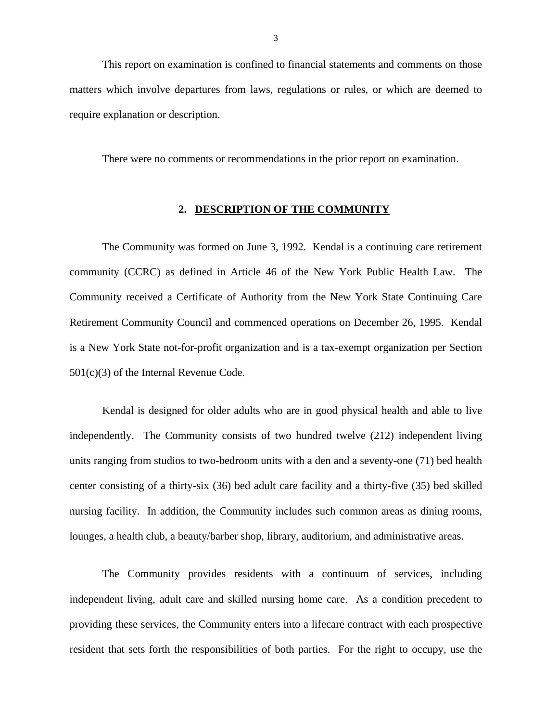This report on examination is confined to financial statements and comments on those matters which involve departures from laws, regulations or rules, or which are deemed to require explanation or description.

There were no comments or recommendations in the prior report on examination.

#### **2. DESCRIPTION OF THE COMMUNITY**

The Community was formed on June 3, 1992. Kendal is a continuing care retirement community (CCRC) as defined in Article 46 of the New York Public Health Law. The Community received a Certificate of Authority from the New York State Continuing Care Retirement Community Council and commenced operations on December 26, 1995. Kendal is a New York State not-for-profit organization and is a tax-exempt organization per Section 501(c)(3) of the Internal Revenue Code.

 independently. The Community consists of two hundred twelve (212) independent living Kendal is designed for older adults who are in good physical health and able to live units ranging from studios to two-bedroom units with a den and a seventy-one (71) bed health center consisting of a thirty-six (36) bed adult care facility and a thirty-five (35) bed skilled nursing facility. In addition, the Community includes such common areas as dining rooms, lounges, a health club, a beauty/barber shop, library, auditorium, and administrative areas.

The Community provides residents with a continuum of services, including independent living, adult care and skilled nursing home care. As a condition precedent to providing these services, the Community enters into a lifecare contract with each prospective resident that sets forth the responsibilities of both parties. For the right to occupy, use the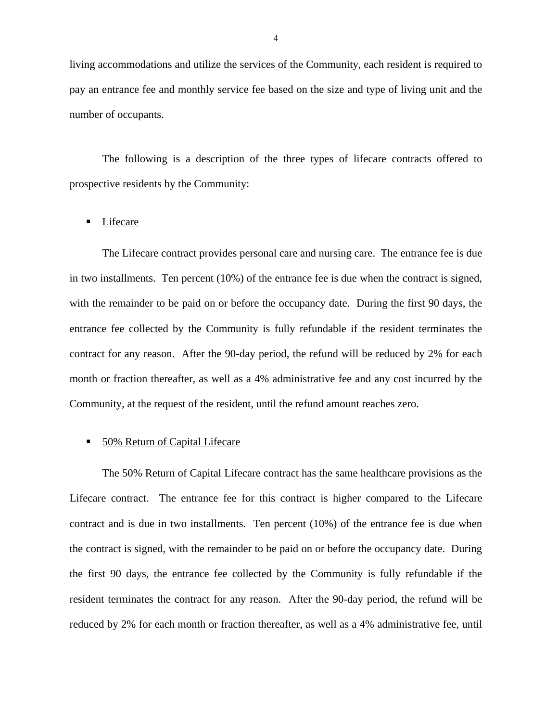living accommodations and utilize the services of the Community, each resident is required to pay an entrance fee and monthly service fee based on the size and type of living unit and the number of occupants.

The following is a description of the three types of lifecare contracts offered to prospective residents by the Community:

#### **Lifecare**

The Lifecare contract provides personal care and nursing care. The entrance fee is due in two installments. Ten percent (10%) of the entrance fee is due when the contract is signed, with the remainder to be paid on or before the occupancy date. During the first 90 days, the entrance fee collected by the Community is fully refundable if the resident terminates the contract for any reason. After the 90-day period, the refund will be reduced by 2% for each month or fraction thereafter, as well as a 4% administrative fee and any cost incurred by the Community, at the request of the resident, until the refund amount reaches zero.

#### 50% Return of Capital Lifecare

The 50% Return of Capital Lifecare contract has the same healthcare provisions as the Lifecare contract. The entrance fee for this contract is higher compared to the Lifecare contract and is due in two installments. Ten percent (10%) of the entrance fee is due when the contract is signed, with the remainder to be paid on or before the occupancy date. During the first 90 days, the entrance fee collected by the Community is fully refundable if the resident terminates the contract for any reason. After the 90-day period, the refund will be reduced by 2% for each month or fraction thereafter, as well as a 4% administrative fee, until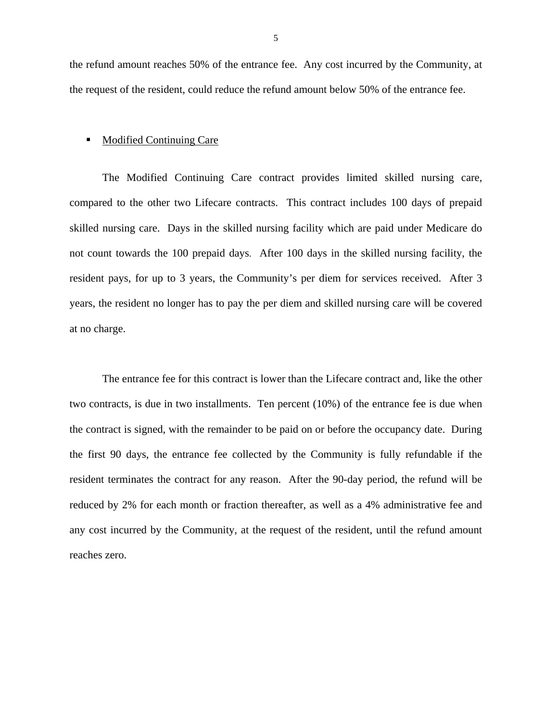the refund amount reaches 50% of the entrance fee. Any cost incurred by the Community, at the request of the resident, could reduce the refund amount below 50% of the entrance fee.

#### Modified Continuing Care

The Modified Continuing Care contract provides limited skilled nursing care, compared to the other two Lifecare contracts. This contract includes 100 days of prepaid skilled nursing care. Days in the skilled nursing facility which are paid under Medicare do not count towards the 100 prepaid days. After 100 days in the skilled nursing facility, the resident pays, for up to 3 years, the Community's per diem for services received. After 3 years, the resident no longer has to pay the per diem and skilled nursing care will be covered at no charge.

The entrance fee for this contract is lower than the Lifecare contract and, like the other two contracts, is due in two installments. Ten percent (10%) of the entrance fee is due when the contract is signed, with the remainder to be paid on or before the occupancy date. During the first 90 days, the entrance fee collected by the Community is fully refundable if the resident terminates the contract for any reason. After the 90-day period, the refund will be reduced by 2% for each month or fraction thereafter, as well as a 4% administrative fee and any cost incurred by the Community, at the request of the resident, until the refund amount reaches zero.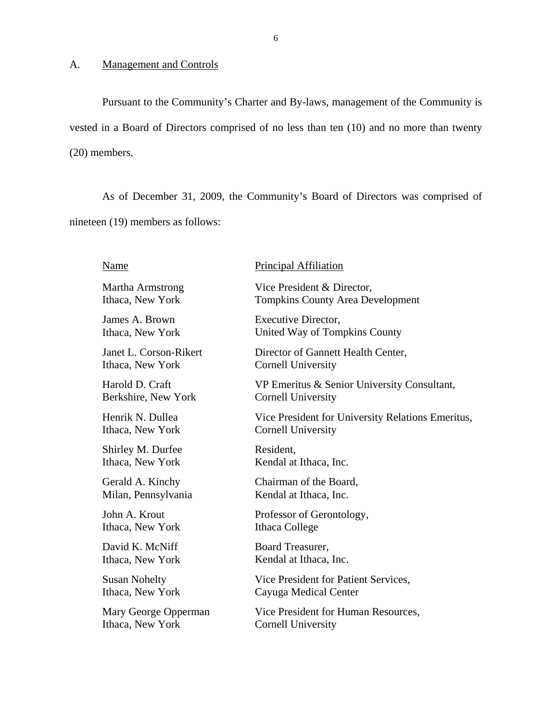#### <span id="page-7-0"></span>A. Management and Controls

Pursuant to the Community's Charter and By-laws, management of the Community is vested in a Board of Directors comprised of no less than ten (10) and no more than twenty (20) members.

As of December 31, 2009, the Community's Board of Directors was comprised of nineteen (19) members as follows:

#### Name

#### Martha Armstrong Ithaca, New York

James A. Brown Ithaca, New York

Janet L. Corson-Rikert Ithaca, New York

Harold D. Craft Berkshire, New York

Henrik N. Dullea Ithaca, New York

Shirley M. Durfee Ithaca, New York

Gerald A. Kinchy Milan, Pennsylvania

John A. Krout Ithaca, New York

David K. McNiff Ithaca, New York

Susan Nohelty Ithaca, New York

Mary George Opperman Ithaca, New York

#### Principal Affiliation

Vice President & Director, Tompkins County Area Development

Executive Director, United Way of Tompkins County

Director of Gannett Health Center, Cornell University

VP Emeritus & Senior University Consultant, Cornell University

Vice President for University Relations Emeritus, Cornell University

Resident, Kendal at Ithaca, Inc.

Chairman of the Board, Kendal at Ithaca, Inc.

Professor of Gerontology, Ithaca College

Board Treasurer, Kendal at Ithaca, Inc.

Vice President for Patient Services, Cayuga Medical Center

Vice President for Human Resources, Cornell University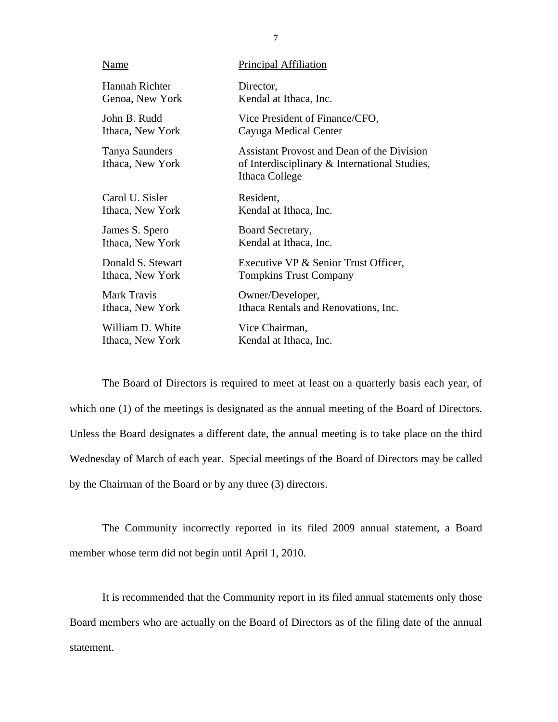| Name                               | <b>Principal Affiliation</b>                                                                                  |
|------------------------------------|---------------------------------------------------------------------------------------------------------------|
| Hannah Richter                     | Director,                                                                                                     |
| Genoa, New York                    | Kendal at Ithaca, Inc.                                                                                        |
| John B. Rudd                       | Vice President of Finance/CFO,                                                                                |
| Ithaca, New York                   | Cayuga Medical Center                                                                                         |
| Tanya Saunders<br>Ithaca, New York | Assistant Provost and Dean of the Division<br>of Interdisciplinary & International Studies,<br>Ithaca College |
| Carol U. Sisler                    | Resident,                                                                                                     |
| Ithaca, New York                   | Kendal at Ithaca, Inc.                                                                                        |
| James S. Spero                     | Board Secretary,                                                                                              |
| Ithaca, New York                   | Kendal at Ithaca, Inc.                                                                                        |
| Donald S. Stewart                  | Executive VP & Senior Trust Officer,                                                                          |
| Ithaca, New York                   | <b>Tompkins Trust Company</b>                                                                                 |
| <b>Mark Travis</b>                 | Owner/Developer,                                                                                              |
| Ithaca, New York                   | Ithaca Rentals and Renovations, Inc.                                                                          |
| William D. White                   | Vice Chairman,                                                                                                |
| Ithaca, New York                   | Kendal at Ithaca, Inc.                                                                                        |

The Board of Directors is required to meet at least on a quarterly basis each year, of which one (1) of the meetings is designated as the annual meeting of the Board of Directors. Unless the Board designates a different date, the annual meeting is to take place on the third Wednesday of March of each year. Special meetings of the Board of Directors may be called by the Chairman of the Board or by any three (3) directors.

The Community incorrectly reported in its filed 2009 annual statement, a Board member whose term did not begin until April 1, 2010.

It is recommended that the Community report in its filed annual statements only those Board members who are actually on the Board of Directors as of the filing date of the annual statement.

7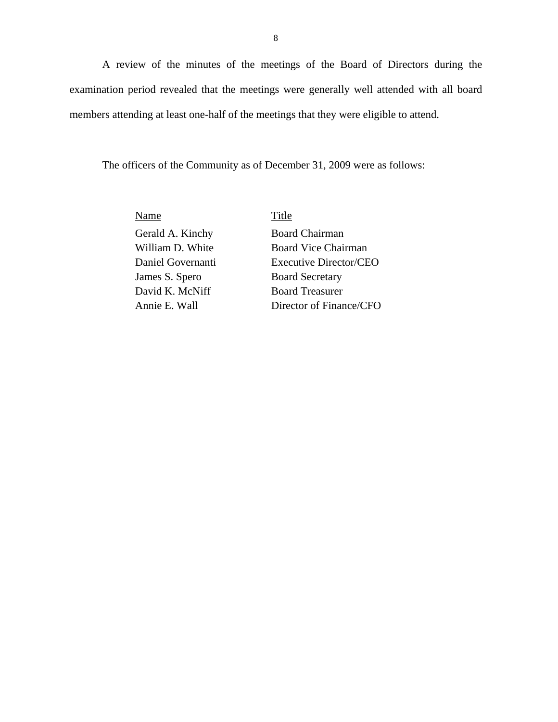A review of the minutes of the meetings of the Board of Directors during the examination period revealed that the meetings were generally well attended with all board members attending at least one-half of the meetings that they were eligible to attend.

The officers of the Community as of December 31, 2009 were as follows:

Name Title

Gerald A. Kinchy William D. White Daniel Governanti James S. Spero David K. McNiff

Board Chairman Board Vice Chairman Executive Director/CEO Board Secretary Board Treasurer Annie E. Wall Director of Finance/CFO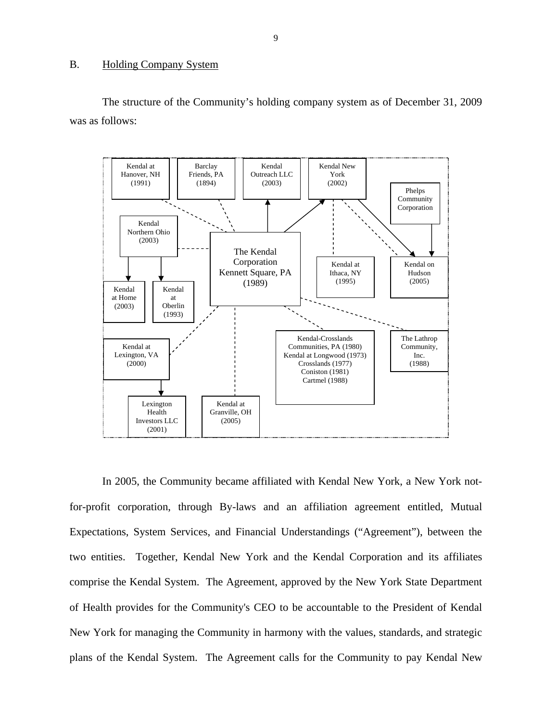#### <span id="page-10-0"></span>B. Holding Company System

The structure of the Community's holding company system as of December 31, 2009 was as follows:



In 2005, the Community became affiliated with Kendal New York, a New York notfor-profit corporation, through By-laws and an affiliation agreement entitled, Mutual Expectations, System Services, and Financial Understandings ("Agreement"), between the two entities. Together, Kendal New York and the Kendal Corporation and its affiliates comprise the Kendal System. The Agreement, approved by the New York State Department of Health provides for the Community's CEO to be accountable to the President of Kendal New York for managing the Community in harmony with the values, standards, and strategic plans of the Kendal System. The Agreement calls for the Community to pay Kendal New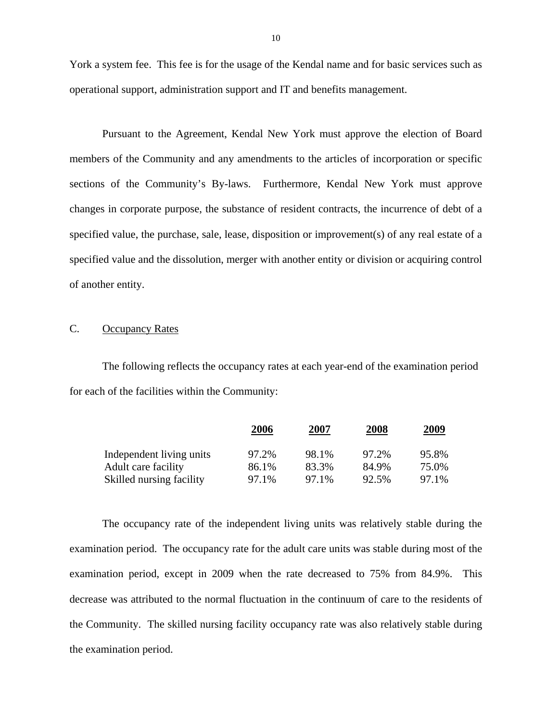York a system fee. This fee is for the usage of the Kendal name and for basic services such as operational support, administration support and IT and benefits management.

Pursuant to the Agreement, Kendal New York must approve the election of Board members of the Community and any amendments to the articles of incorporation or specific sections of the Community's By-laws. Furthermore, Kendal New York must approve changes in corporate purpose, the substance of resident contracts, the incurrence of debt of a specified value, the purchase, sale, lease, disposition or improvement(s) of any real estate of a specified value and the dissolution, merger with another entity or division or acquiring control of another entity.

#### C. Occupancy Rates

The following reflects the occupancy rates at each year-end of the examination period for each of the facilities within the Community:

|                          | <u>2006</u> | <u>2007</u> | <u>2008</u> | 2009  |
|--------------------------|-------------|-------------|-------------|-------|
| Independent living units | 97.2%       | 98.1%       | 97.2%       | 95.8% |
| Adult care facility      | 86.1%       | 83.3%       | 84.9%       | 75.0% |
| Skilled nursing facility | 97.1%       | 97.1%       | 92.5%       | 97.1% |

The occupancy rate of the independent living units was relatively stable during the examination period. The occupancy rate for the adult care units was stable during most of the examination period, except in 2009 when the rate decreased to 75% from 84.9%. This decrease was attributed to the normal fluctuation in the continuum of care to the residents of the Community. The skilled nursing facility occupancy rate was also relatively stable during the examination period.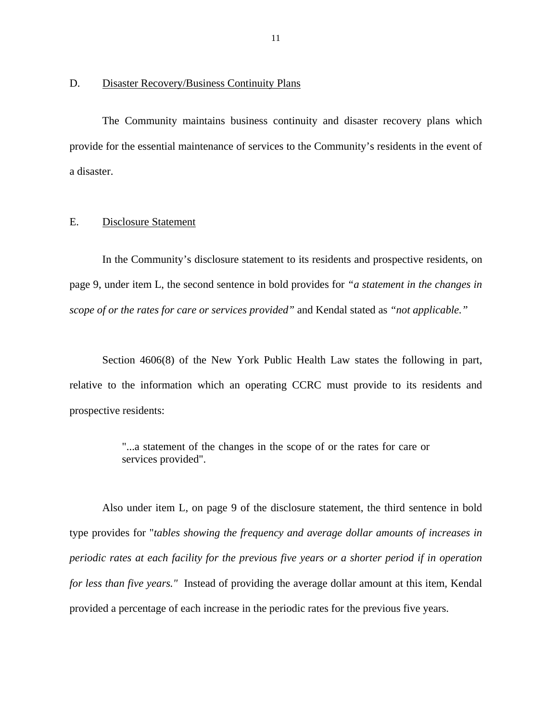#### <span id="page-12-0"></span>D. Disaster Recovery/Business Continuity Plans

The Community maintains business continuity and disaster recovery plans which provide for the essential maintenance of services to the Community's residents in the event of a disaster.

#### E. Disclosure Statement

In the Community's disclosure statement to its residents and prospective residents, on page 9, under item L, the second sentence in bold provides for *"a statement in the changes in scope of or the rates for care or services provided"* and Kendal stated as *"not applicable."* 

Section 4606(8) of the New York Public Health Law states the following in part, relative to the information which an operating CCRC must provide to its residents and prospective residents:

> "...a statement of the changes in the scope of or the rates for care or services provided".

Also under item L, on page 9 of the disclosure statement, the third sentence in bold type provides for "*tables showing the frequency and average dollar amounts of increases in periodic rates at each facility for the previous five years or a shorter period if in operation for less than five years."* Instead of providing the average dollar amount at this item, Kendal provided a percentage of each increase in the periodic rates for the previous five years.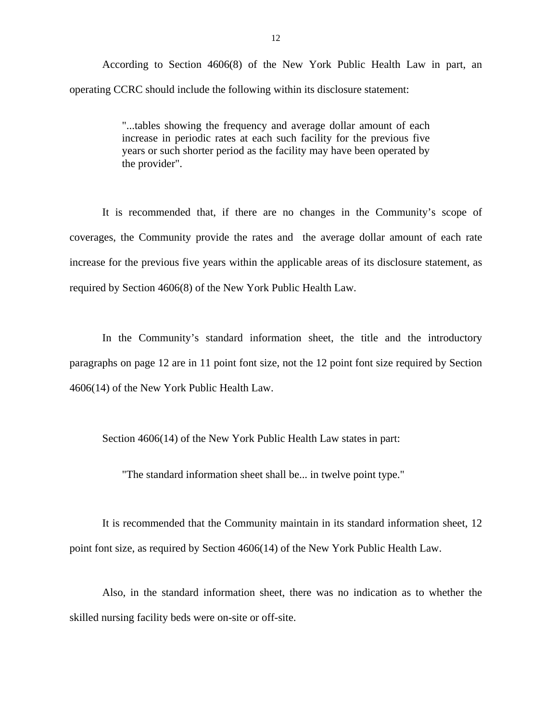According to Section 4606(8) of the New York Public Health Law in part, an operating CCRC should include the following within its disclosure statement:

> "...tables showing the frequency and average dollar amount of each increase in periodic rates at each such facility for the previous five years or such shorter period as the facility may have been operated by the provider".

It is recommended that, if there are no changes in the Community's scope of coverages, the Community provide the rates and the average dollar amount of each rate increase for the previous five years within the applicable areas of its disclosure statement, as required by Section 4606(8) of the New York Public Health Law.

In the Community's standard information sheet, the title and the introductory paragraphs on page 12 are in 11 point font size, not the 12 point font size required by Section 4606(14) of the New York Public Health Law.

Section 4606(14) of the New York Public Health Law states in part:

"The standard information sheet shall be... in twelve point type."

It is recommended that the Community maintain in its standard information sheet, 12 point font size, as required by Section 4606(14) of the New York Public Health Law.

Also, in the standard information sheet, there was no indication as to whether the skilled nursing facility beds were on-site or off-site.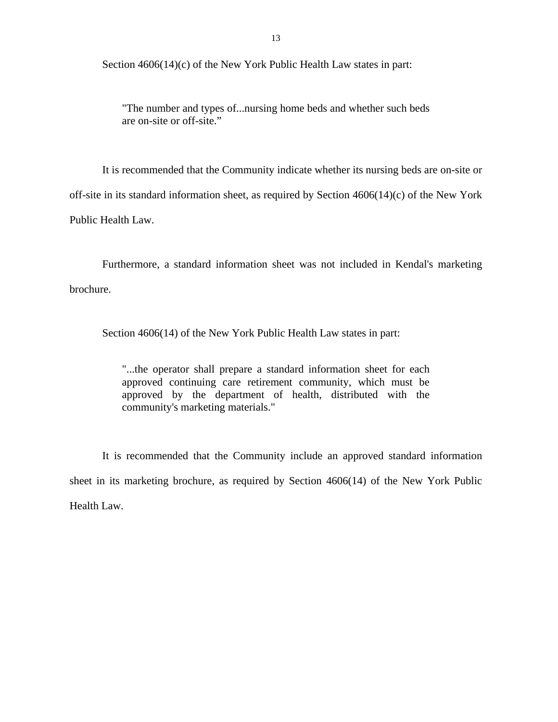Section 4606(14)(c) of the New York Public Health Law states in part:

"The number and types of...nursing home beds and whether such beds are on-site or off-site."

It is recommended that the Community indicate whether its nursing beds are on-site or off-site in its standard information sheet, as required by Section 4606(14)(c) of the New York Public Health Law.

Furthermore, a standard information sheet was not included in Kendal's marketing brochure.

Section 4606(14) of the New York Public Health Law states in part:

"...the operator shall prepare a standard information sheet for each approved continuing care retirement community, which must be approved by the department of health, distributed with the community's marketing materials."

It is recommended that the Community include an approved standard information sheet in its marketing brochure, as required by Section 4606(14) of the New York Public Health Law.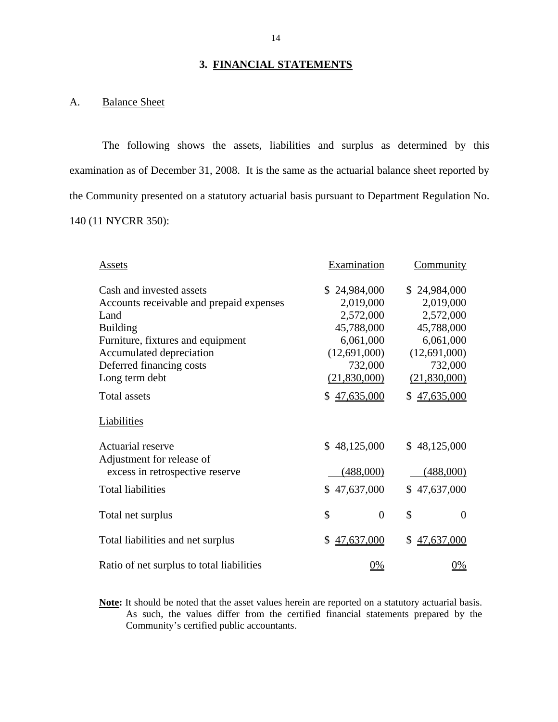#### **3. FINANCIAL STATEMENTS**

#### A. Balance Sheet

The following shows the assets, liabilities and surplus as determined by this examination as of December 31, 2008. It is the same as the actuarial balance sheet reported by the Community presented on a statutory actuarial basis pursuant to Department Regulation No. 140 (11 NYCRR 350):

| Assets                                    | Examination          | Community            |
|-------------------------------------------|----------------------|----------------------|
| Cash and invested assets                  | \$24,984,000         | \$24,984,000         |
| Accounts receivable and prepaid expenses  | 2,019,000            | 2,019,000            |
| Land                                      | 2,572,000            | 2,572,000            |
| <b>Building</b>                           | 45,788,000           | 45,788,000           |
| Furniture, fixtures and equipment         | 6,061,000            | 6,061,000            |
| Accumulated depreciation                  | (12,691,000)         | (12,691,000)         |
| Deferred financing costs                  | 732,000              | 732,000              |
| Long term debt                            | (21,830,000)         | (21,830,000)         |
| <b>Total assets</b>                       | \$47,635,000         | \$47,635,000         |
| Liabilities                               |                      |                      |
| Actuarial reserve                         | \$48,125,000         | \$48,125,000         |
| Adjustment for release of                 |                      |                      |
| excess in retrospective reserve           | (488,000)            | (488,000)            |
| <b>Total liabilities</b>                  | \$47,637,000         | 47,637,000<br>\$     |
| Total net surplus                         | \$<br>$\overline{0}$ | \$<br>$\overline{0}$ |
| Total liabilities and net surplus         | 47,637,000<br>\$     | 47,637,000           |
| Ratio of net surplus to total liabilities | 0%                   | $0\%$                |

**Note:** It should be noted that the asset values herein are reported on a statutory actuarial basis. As such, the values differ from the certified financial statements prepared by the Community's certified public accountants.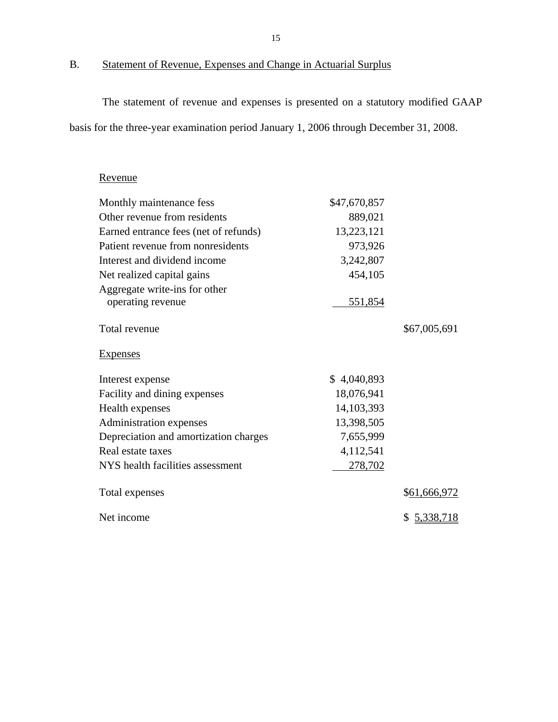B. Statement of Revenue, Expenses and Change in Actuarial Surplus

The statement of revenue and expenses is presented on a statutory modified GAAP basis for the three-year examination period January 1, 2006 through December 31, 2008.

## Revenue

| Monthly maintenance fess              | \$47,670,857 |              |
|---------------------------------------|--------------|--------------|
| Other revenue from residents          | 889,021      |              |
| Earned entrance fees (net of refunds) | 13,223,121   |              |
| Patient revenue from nonresidents     | 973,926      |              |
| Interest and dividend income          | 3,242,807    |              |
| Net realized capital gains            | 454,105      |              |
| Aggregate write-ins for other         |              |              |
| operating revenue                     | 551,854      |              |
| Total revenue                         |              | \$67,005,691 |
| <b>Expenses</b>                       |              |              |
| Interest expense                      | \$4,040,893  |              |
| Facility and dining expenses          | 18,076,941   |              |
| Health expenses                       | 14, 103, 393 |              |
| Administration expenses               | 13,398,505   |              |
| Depreciation and amortization charges | 7,655,999    |              |
| Real estate taxes                     | 4,112,541    |              |
| NYS health facilities assessment      | 278,702      |              |
| Total expenses                        |              | \$61,666,972 |
| Net income                            |              | \$5,338,718  |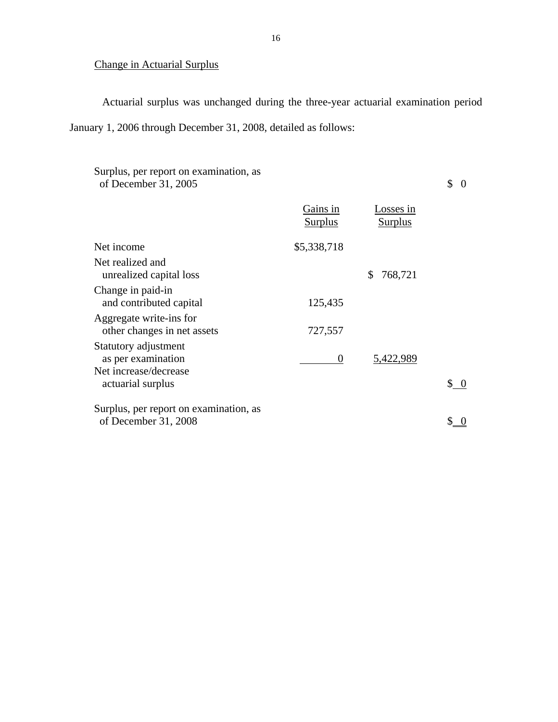## Change in Actuarial Surplus

Actuarial surplus was unchanged during the three-year actuarial examination period January 1, 2006 through December 31, 2008, detailed as follows:

| Surplus, per report on examination, as<br>of December 31, 2005      |                            |                             | \$                                   |
|---------------------------------------------------------------------|----------------------------|-----------------------------|--------------------------------------|
|                                                                     | Gains in<br><b>Surplus</b> | Losses in<br><b>Surplus</b> |                                      |
| Net income                                                          | \$5,338,718                |                             |                                      |
| Net realized and<br>unrealized capital loss                         |                            | 768,721<br>S                |                                      |
| Change in paid-in<br>and contributed capital                        | 125,435                    |                             |                                      |
| Aggregate write-ins for<br>other changes in net assets              | 727,557                    |                             |                                      |
| Statutory adjustment<br>as per examination<br>Net increase/decrease | $\Omega$                   | 5,422,989                   |                                      |
| actuarial surplus                                                   |                            |                             | $\begin{matrix} 0 \\ 0 \end{matrix}$ |
| Surplus, per report on examination, as                              |                            |                             |                                      |
| of December 31, 2008                                                |                            |                             |                                      |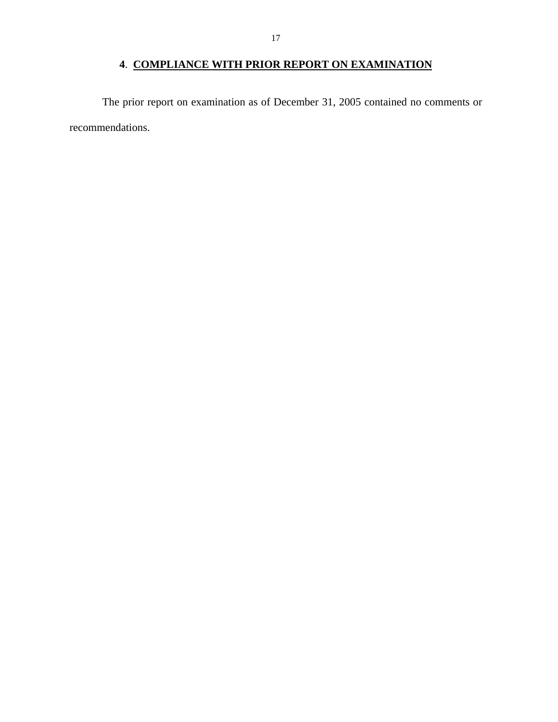## **4**. **COMPLIANCE WITH PRIOR REPORT ON EXAMINATION**

<span id="page-18-0"></span>The prior report on examination as of December 31, 2005 contained no comments or recommendations.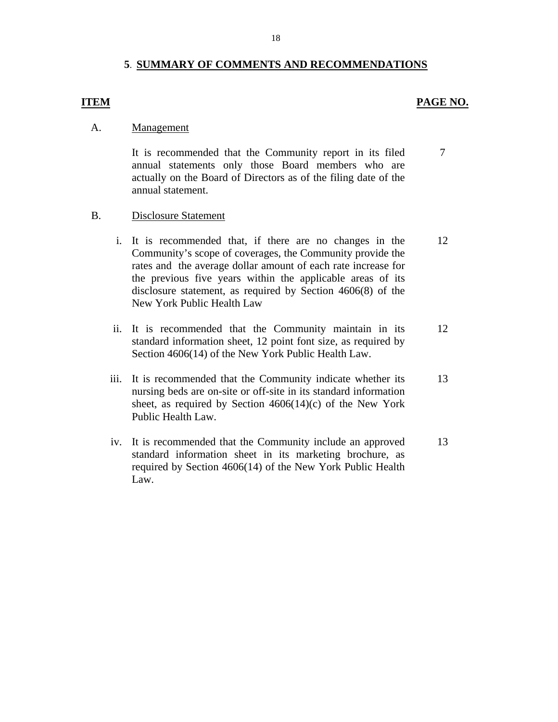#### **5**. **SUMMARY OF COMMENTS AND RECOMMENDATIONS**

#### **ITEM** PAGE NO.

#### Management

A. <u>Management</u><br>It is recommended that the Community report in its filed annual statements only those Board members who are actually on the Board of Directors as of the filing date of the annual statement. 7

#### **Disclosure Statement**

- B. Disclosure Statement<br>i. It is recommended that, if there are no changes in the Community's scope of coverages, the Community provide the rates and the average dollar amount of each rate increase for the previous five years within the applicable areas of its disclosure statement, as required by Section 4606(8) of the New York Public Health Law 12
	- ii. It is recommended that the Community maintain in its standard information sheet, 12 point font size, as required by Section 4606(14) of the New York Public Health Law. 12
	- iii. It is recommended that the Community indicate whether its nursing beds are on-site or off-site in its standard information sheet, as required by Section  $4606(14)(c)$  of the New York Public Health Law. 13
	- iv. It is recommended that the Community include an approved standard information sheet in its marketing brochure, as required by Section 4606(14) of the New York Public Health Law. 13